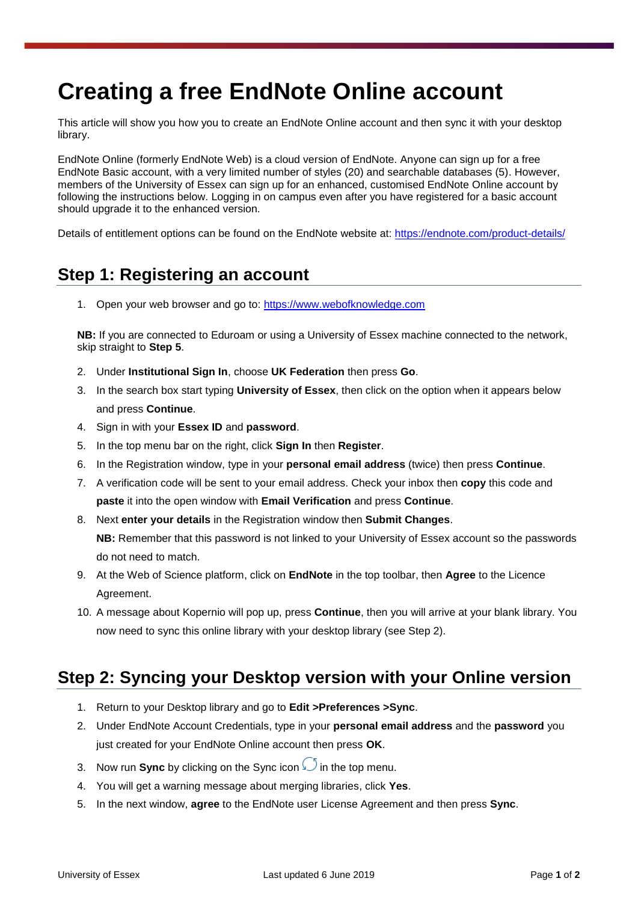# **Creating a free EndNote Online account**

This article will show you how you to create an EndNote Online account and then sync it with your desktop library.

EndNote Online (formerly EndNote Web) is a cloud version of EndNote. Anyone can sign up for a free EndNote Basic account, with a very limited number of styles (20) and searchable databases (5). However, members of the University of Essex can sign up for an enhanced, customised EndNote Online account by following the instructions below. Logging in on campus even after you have registered for a basic account should upgrade it to the enhanced version.

Details of entitlement options can be found on the EndNote website at:<https://endnote.com/product-details/>

### **Step 1: Registering an account**

1. Open your web browser and go to: [https://www.webofknowledge.com](https://www.webofknowledge.com/)

**NB:** If you are connected to Eduroam or using a University of Essex machine connected to the network, skip straight to **Step 5**.

- 2. Under **Institutional Sign In**, choose **UK Federation** then press **Go**.
- 3. In the search box start typing **University of Essex**, then click on the option when it appears below and press **Continue**.
- 4. Sign in with your **Essex ID** and **password**.
- 5. In the top menu bar on the right, click **Sign In** then **Register**.
- 6. In the Registration window, type in your **personal email address** (twice) then press **Continue**.
- 7. A verification code will be sent to your email address. Check your inbox then **copy** this code and **paste** it into the open window with **Email Verification** and press **Continue**.
- 8. Next **enter your details** in the Registration window then **Submit Changes**. **NB:** Remember that this password is not linked to your University of Essex account so the passwords do not need to match.
- 9. At the Web of Science platform, click on **EndNote** in the top toolbar, then **Agree** to the Licence Agreement.
- 10. A message about Kopernio will pop up, press **Continue**, then you will arrive at your blank library. You now need to sync this online library with your desktop library (see Step 2).

## **Step 2: Syncing your Desktop version with your Online version**

- 1. Return to your Desktop library and go to **Edit >Preferences >Sync**.
- 2. Under EndNote Account Credentials, type in your **personal email address** and the **password** you just created for your EndNote Online account then press **OK**.
- 3. Now run **Sync** by clicking on the Sync icon **i**n the top menu.
- 4. You will get a warning message about merging libraries, click **Yes**.
- 5. In the next window, **agree** to the EndNote user License Agreement and then press **Sync**.